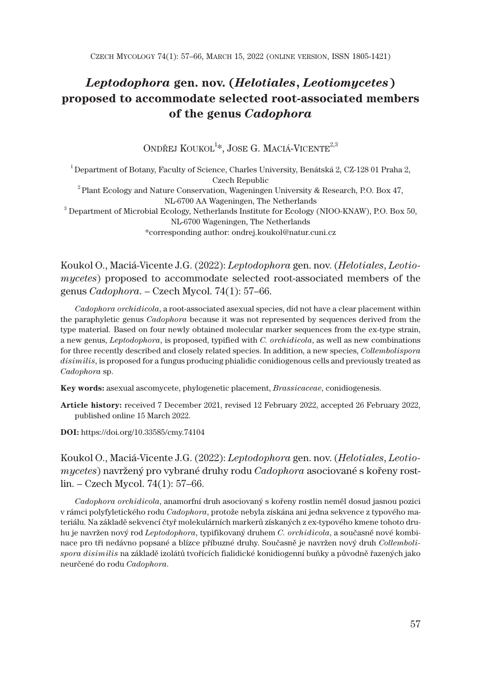# *Leptodophora* **gen. nov. (***Helotiales***,** *Leotiomycetes***) proposed to accommodate selected root-associated members of the genus** *Cadophora*

ONDŘEJ KOUKOL<sup>1</sup>\*, JOSE G. MACIÁ-VICENTE<sup>2,3</sup>

 $^{\rm 1}$ Department of Botany, Faculty of Science, Charles University, Benátská 2, CZ-128 01 Praha 2, Czech Republic  $^2$ Plant Ecology and Nature Conservation, Wageningen University & Research, P.O. Box 47, NL-6700 AA Wageningen, The Netherlands <sup>3</sup> Department of Microbial Ecology, Netherlands Institute for Ecology (NIOO-KNAW), P.O. Box 50, NL-6700 Wageningen, The Netherlands \*corresponding author: ondrej.koukol@natur.cuni.cz

Koukol O., Maciá-Vicente J.G. (2022): *Leptodophora* gen. nov. (*Helotiales*, *Leotiomycetes*) proposed to accommodate selected root-associated members of the genus *Cadophora*. – Czech Mycol. 74(1): 57–66.

*Cadophora orchidicola*, a root-associated asexual species, did not have a clear placement within the paraphyletic genus *Cadophora* because it was not represented by sequences derived from the type material*.* Based on four newly obtained molecular marker sequences from the ex-type strain, a new genus, *Leptodophora*, is proposed, typified with *C. orchidicola*, as well as new combinations for three recently described and closely related species. In addition, a new species, *Collembolispora disimilis*, is proposed for a fungus producing phialidic conidiogenous cells and previously treated as *Cadophora* sp.

**Key words:** asexual ascomycete, phylogenetic placement, *Brassicaceae*, conidiogenesis.

**Article history:** received 7 December 2021, revised 12 February 2022, accepted 26 February 2022, published online 15 March 2022.

**DOI:** https://doi.org/10.33585/cmy.74104

Koukol O., Maciá-Vicente J.G. (2022): *Leptodophora* gen. nov. (*Helotiales*, *Leotiomycetes*) navržený pro vybrané druhy rodu *Cadophora* asociované s kořeny rostlin. – Czech Mycol. 74(1): 57–66.

*Cadophora orchidicola*, anamorfní druh asociovaný s kořeny rostlin neměl dosud jasnou pozici v rámci polyfyletického rodu *Cadophora*, protože nebyla získána ani jedna sekvence z typového materiálu. Na základě sekvencí čtyř molekulárních markerů získaných z ex-typového kmene tohoto druhu je navržen nový rod *Leptodophora*, typifikovaný druhem *C. orchidicola*, a současně nové kombinace pro tři nedávno popsané a blízce příbuzné druhy. Současně je navržen nový druh *Collembolispora disimilis* na základě izolátů tvořících fialidické konidiogenní buňky a původně řazených jako neurčené do rodu *Cadophora*.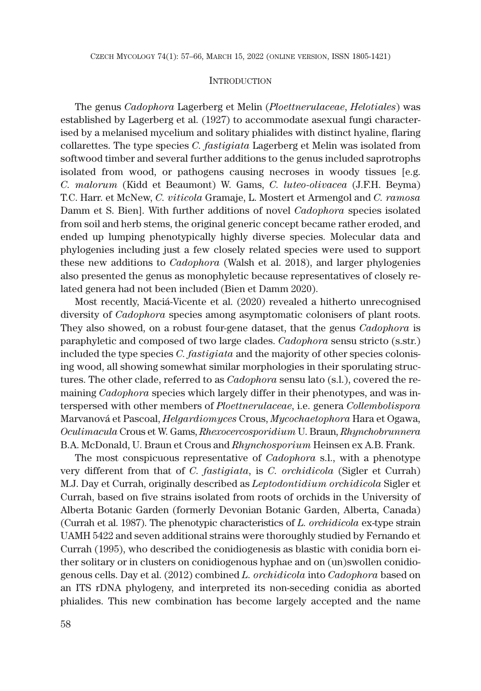#### **INTRODUCTION**

The genus *Cadophora* Lagerberg et Melin (*Ploettnerulaceae*, *Helotiales*) was established by Lagerberg et al. (1927) to accommodate asexual fungi characterised by a melanised mycelium and solitary phialides with distinct hyaline, flaring collarettes. The type species *C. fastigiata* Lagerberg et Melin was isolated from softwood timber and several further additions to the genus included saprotrophs isolated from wood, or pathogens causing necroses in woody tissues [e.g. *C. malorum* (Kidd et Beaumont) W. Gams, *C. luteo-olivacea* (J.F.H. Beyma) T.C. Harr. et McNew, *C. viticola* Gramaje, L. Mostert et Armengol and *C. ramosa* Damm et S. Bien]. With further additions of novel *Cadophora* species isolated from soil and herb stems, the original generic concept became rather eroded, and ended up lumping phenotypically highly diverse species. Molecular data and phylogenies including just a few closely related species were used to support these new additions to *Cadophora* (Walsh et al. 2018), and larger phylogenies also presented the genus as monophyletic because representatives of closely related genera had not been included (Bien et Damm 2020).

Most recently, Maciá-Vicente et al. (2020) revealed a hitherto unrecognised diversity of *Cadophora* species among asymptomatic colonisers of plant roots. They also showed, on a robust four-gene dataset, that the genus *Cadophora* is paraphyletic and composed of two large clades. *Cadophora* sensu stricto (s.str.) included the type species *C. fastigiata* and the majority of other species colonising wood, all showing somewhat similar morphologies in their sporulating structures. The other clade, referred to as *Cadophora* sensu lato (s.l.), covered the remaining *Cadophora* species which largely differ in their phenotypes, and was interspersed with other members of *Ploettnerulaceae*, i.e. genera *Collembolispora* Marvanová et Pascoal, *Helgardiomyces* Crous, *Mycochaetophora* Hara et Ogawa, *Oculimacula* Crous et W. Gams, *Rhexocercosporidium* U. Braun, *Rhynchobrunnera* B.A. McDonald, U. Braun et Crous and *Rhynchosporium* Heinsen ex A.B. Frank.

The most conspicuous representative of *Cadophora* s.l., with a phenotype very different from that of *C. fastigiata*, is *C. orchidicola* (Sigler et Currah) M.J. Day et Currah, originally described as *Leptodontidium orchidicola* Sigler et Currah, based on five strains isolated from roots of orchids in the University of Alberta Botanic Garden (formerly Devonian Botanic Garden, Alberta, Canada) (Currah et al. 1987). The phenotypic characteristics of *L. orchidicola* ex-type strain UAMH 5422 and seven additional strains were thoroughly studied by Fernando et Currah (1995), who described the conidiogenesis as blastic with conidia born either solitary or in clusters on conidiogenous hyphae and on (un)swollen conidiogenous cells. Day et al. (2012) combined *L. orchidicola* into *Cadophora* based on an ITS rDNA phylogeny, and interpreted its non-seceding conidia as aborted phialides. This new combination has become largely accepted and the name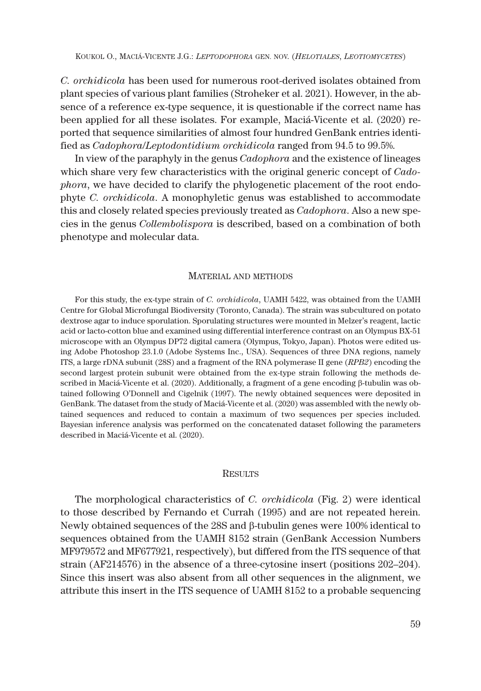*C. orchidicola* has been used for numerous root-derived isolates obtained from plant species of various plant families (Stroheker et al. 2021). However, in the absence of a reference ex-type sequence, it is questionable if the correct name has been applied for all these isolates. For example, Maciá-Vicente et al. (2020) reported that sequence similarities of almost four hundred GenBank entries identified as *Cadophora*/*Leptodontidium orchidicola* ranged from 94.5 to 99.5%.

In view of the paraphyly in the genus *Cadophora* and the existence of lineages which share very few characteristics with the original generic concept of *Cadophora*, we have decided to clarify the phylogenetic placement of the root endophyte *C. orchidicola*. A monophyletic genus was established to accommodate this and closely related species previously treated as *Cadophora*. Also a new species in the genus *Collembolispora* is described, based on a combination of both phenotype and molecular data.

#### MATERIAL AND METHODS

For this study, the ex-type strain of *C. orchidicola*, UAMH 5422, was obtained from the UAMH Centre for Global Microfungal Biodiversity (Toronto, Canada). The strain was subcultured on potato dextrose agar to induce sporulation. Sporulating structures were mounted in Melzer's reagent, lactic acid or lacto-cotton blue and examined using differential interference contrast on an Olympus BX-51 microscope with an Olympus DP72 digital camera (Olympus, Tokyo, Japan). Photos were edited using Adobe Photoshop 23.1.0 (Adobe Systems Inc., USA). Sequences of three DNA regions, namely ITS, a large rDNA subunit (28S) and a fragment of the RNA polymerase II gene (*RPB2*) encoding the second largest protein subunit were obtained from the ex-type strain following the methods described in Maciá-Vicente et al. (2020). Additionally, a fragment of a gene encoding  $\beta$ -tubulin was obtained following O'Donnell and Cigelnik (1997). The newly obtained sequences were deposited in GenBank. The dataset from the study of Maciá-Vicente et al. (2020) was assembled with the newly obtained sequences and reduced to contain a maximum of two sequences per species included. Bayesian inference analysis was performed on the concatenated dataset following the parameters described in Maciá-Vicente et al. (2020).

#### **RESULTS**

The morphological characteristics of *C. orchidicola* (Fig. 2) were identical to those described by Fernando et Currah (1995) and are not repeated herein. Newly obtained sequences of the  $28S$  and  $\beta$ -tubulin genes were 100% identical to sequences obtained from the UAMH 8152 strain (GenBank Accession Numbers MF979572 and MF677921, respectively), but differed from the ITS sequence of that strain (AF214576) in the absence of a three-cytosine insert (positions 202–204). Since this insert was also absent from all other sequences in the alignment, we attribute this insert in the ITS sequence of UAMH 8152 to a probable sequencing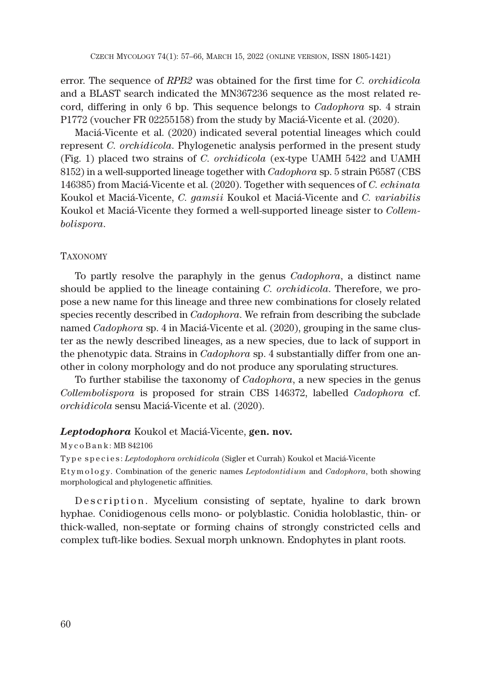error. The sequence of *RPB2* was obtained for the first time for *C. orchidicola* and a BLAST search indicated the MN367236 sequence as the most related record, differing in only 6 bp. This sequence belongs to *Cadophora* sp. 4 strain P1772 (voucher FR 02255158) from the study by Maciá-Vicente et al. (2020).

Maciá-Vicente et al. (2020) indicated several potential lineages which could represent *C. orchidicola*. Phylogenetic analysis performed in the present study (Fig. 1) placed two strains of *C. orchidicola* (ex-type UAMH 5422 and UAMH 8152) in a well-supported lineage together with *Cadophora* sp. 5 strain P6587 (CBS 146385) from Maciá-Vicente et al. (2020). Together with sequences of *C. echinata* Koukol et Maciá-Vicente, *C. gamsii* Koukol et Maciá-Vicente and *C. variabilis* Koukol et Maciá-Vicente they formed a well-supported lineage sister to *Collembolispora*.

### TAXONOMY

To partly resolve the paraphyly in the genus *Cadophora*, a distinct name should be applied to the lineage containing *C. orchidicola*. Therefore, we propose a new name for this lineage and three new combinations for closely related species recently described in *Cadophora*. We refrain from describing the subclade named *Cadophora* sp. 4 in Maciá-Vicente et al. (2020), grouping in the same cluster as the newly described lineages, as a new species, due to lack of support in the phenotypic data. Strains in *Cadophora* sp. 4 substantially differ from one another in colony morphology and do not produce any sporulating structures.

To further stabilise the taxonomy of *Cadophora*, a new species in the genus *Collembolispora* is proposed for strain CBS 146372, labelled *Cadophora* cf. *orchidicola* sensu Maciá-Vicente et al. (2020).

#### *Leptodophora* Koukol et Maciá-Vicente, **gen. nov.**

### M y c o B a n k : MB 842106

Type species: *Leptodophora orchidicola* (Sigler et Currah) Koukol et Maciá-Vicente

E t y m o l o g y. Combination of the generic names *Leptodontidium* and *Cadophora*, both showing morphological and phylogenetic affinities.

Description. Mycelium consisting of septate, hyaline to dark brown hyphae. Conidiogenous cells mono- or polyblastic. Conidia holoblastic, thin- or thick-walled, non-septate or forming chains of strongly constricted cells and complex tuft-like bodies. Sexual morph unknown. Endophytes in plant roots.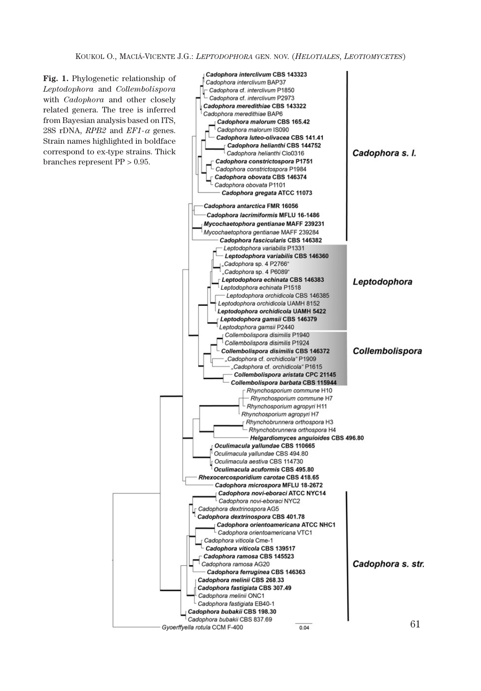**Fig. 1.** Phylogenetic relationship of *Leptodophora* and *Collembolispora* with *Cadophora* and other closely related genera. The tree is inferred from Bayesian analysis based on ITS, 28S rDNA,  $RPB2$  and  $EFI - \alpha$  genes. Strain names highlighted in boldface correspond to ex-type strains. Thick branches represent PP > 0.95.

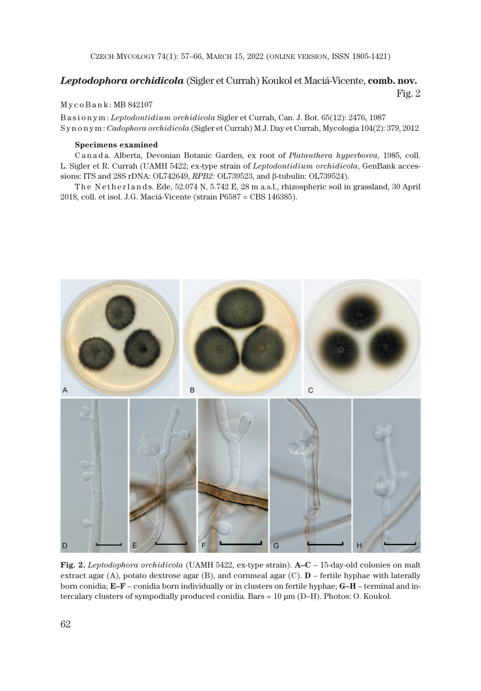CZECH MYCOLOGY 74(1): 57–66, MARCH 15, 2022 (ONLINE VERSION, ISSN 1805-1421)

## *Leptodophora orchidicola* (Sigler et Currah) Koukol et Maciá-Vicente, **comb. nov.**

Fig. 2

#### M y c o B a n k : MB 842107

Basionym: *Leptodontidium orchidicola* Sigler et Currah, Can. J. Bot. 65(12): 2476, 1987 Synonym: *Cadophora orchidicola* (Sigler et Currah) M.J. Day et Currah, Mycologia 104(2): 379, 2012

#### **Specimens examined**

Canada. Alberta, Devonian Botanic Garden, ex root of *Platanthera hyperborea*, 1985, coll. L. Sigler et R. Currah (UAMH 5422; ex-type strain of *Leptodontidium orchidicola*, GenBank accessions: ITS and 28S rDNA: OL742649, *RPB2:* OL739523, and β-tubulin: OL739524).

The Netherlands. Ede, 52.074 N, 5.742 E, 28 m a.s.l., rhizospheric soil in grassland, 30 April 2018, coll. et isol. J.G. Maciá-Vicente (strain P6587 = CBS 146385).



**Fig. 2.** *Leptodophora orchidicola* (UAMH 5422, ex-type strain). **A–C** – 15-day-old colonies on malt extract agar (A), potato dextrose agar (B), and cornmeal agar (C). **D** – fertile hyphae with laterally born conidia; **E–F** – conidia born individually or in clusters on fertile hyphae; **G–H** – terminal and intercalary clusters of sympodially produced conidia. Bars = 10 μm (D–H). Photos: O. Koukol.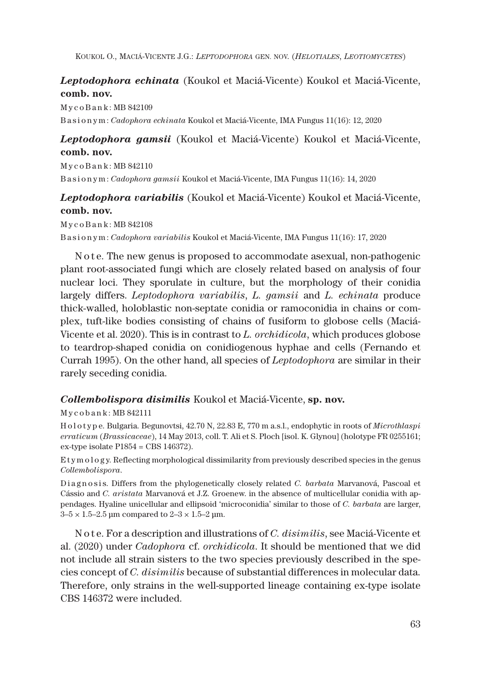KOUKOL O., MACIÁ-VICENTE J.G.: *LEPTODOPHORA* GEN. NOV. (*HELOTIALES*, *LEOTIOMYCETES*)

# *Leptodophora echinata* (Koukol et Maciá-Vicente) Koukol et Maciá-Vicente, **comb. nov.**

M y c o B a n k : MB 842109 Basionym: *Cadophora echinata* Koukol et Maciá-Vicente, IMA Fungus 11(16): 12, 2020

# *Leptodophora gamsii* (Koukol et Maciá-Vicente) Koukol et Maciá-Vicente, **comb. nov.**

M y c o B a n k : MB 842110 Basionym: *Cadophora gamsii* Koukol et Maciá-Vicente, IMA Fungus 11(16): 14, 2020

*Leptodophora variabilis* (Koukol et Maciá-Vicente) Koukol et Maciá-Vicente, **comb. nov.**

M y c o B a n k : MB 842108 Basionym: *Cadophora variabilis* Koukol et Maciá-Vicente, IMA Fungus 11(16): 17, 2020

N o t e. The new genus is proposed to accommodate asexual, non-pathogenic plant root-associated fungi which are closely related based on analysis of four nuclear loci. They sporulate in culture, but the morphology of their conidia largely differs. *Leptodophora variabilis*, *L. gamsii* and *L. echinata* produce thick-walled, holoblastic non-septate conidia or ramoconidia in chains or complex, tuft-like bodies consisting of chains of fusiform to globose cells (Maciá-Vicente et al. 2020). This is in contrast to *L. orchidicola*, which produces globose to teardrop-shaped conidia on conidiogenous hyphae and cells (Fernando et Currah 1995). On the other hand, all species of *Leptodophora* are similar in their rarely seceding conidia.

# *Collembolispora disimilis* Koukol et Maciá-Vicente, **sp. nov.**

M y c o b a n k : MB 842111

H o l o t y p e. Bulgaria. Begunovtsi, 42.70 N, 22.83 E, 770 m a.s.l., endophytic in roots of *Microthlaspi erraticum* (*Brassicaceae*), 14 May 2013, coll. T. Ali et S. Ploch [isol. K. Glynou] (holotype FR 0255161; ex-type isolate P1854 = CBS 146372).

Etym ology. Reflecting morphological dissimilarity from previously described species in the genus *Collembolispora*.

Diagnosis. Differs from the phylogenetically closely related *C. barbata* Marvanová, Pascoal et Cássio and *C. aristata* Marvanová et J.Z. Groenew. in the absence of multicellular conidia with appendages. Hyaline unicellular and ellipsoid 'microconidia' similar to those of *C. barbata* are larger,  $3-5 \times 1.5-2.5$  μm compared to  $2-3 \times 1.5-2$  μm.

N o t e. For a description and illustrations of *C. disimilis*, see Maciá-Vicente et al. (2020) under *Cadophora* cf. *orchidicola*. It should be mentioned that we did not include all strain sisters to the two species previously described in the species concept of *C. disimilis* because of substantial differences in molecular data. Therefore, only strains in the well-supported lineage containing ex-type isolate CBS 146372 were included.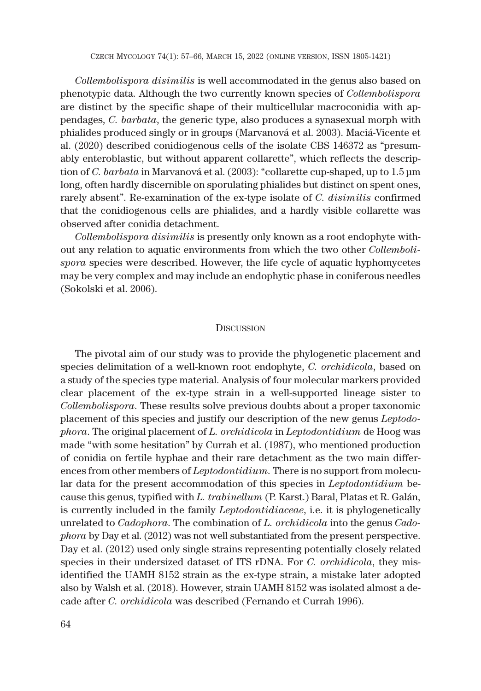*Collembolispora disimilis* is well accommodated in the genus also based on phenotypic data. Although the two currently known species of *Collembolispora* are distinct by the specific shape of their multicellular macroconidia with appendages, *C. barbata*, the generic type, also produces a synasexual morph with phialides produced singly or in groups (Marvanová et al. 2003). Maciá-Vicente et al. (2020) described conidiogenous cells of the isolate CBS 146372 as "presumably enteroblastic, but without apparent collarette", which reflects the description of *C. barbata* in Marvanová et al. (2003): "collarette cup-shaped, up to 1.5 μm long, often hardly discernible on sporulating phialides but distinct on spent ones, rarely absent". Re-examination of the ex-type isolate of *C. disimilis* confirmed that the conidiogenous cells are phialides, and a hardly visible collarette was observed after conidia detachment.

*Collembolispora disimilis* is presently only known as a root endophyte without any relation to aquatic environments from which the two other *Collembolispora* species were described. However, the life cycle of aquatic hyphomycetes may be very complex and may include an endophytic phase in coniferous needles (Sokolski et al. 2006).

#### **DISCUSSION**

The pivotal aim of our study was to provide the phylogenetic placement and species delimitation of a well-known root endophyte, *C. orchidicola*, based on a study of the species type material. Analysis of four molecular markers provided clear placement of the ex-type strain in a well-supported lineage sister to *Collembolispora*. These results solve previous doubts about a proper taxonomic placement of this species and justify our description of the new genus *Leptodophora*. The original placement of *L. orchidicola* in *Leptodontidium* de Hoog was made "with some hesitation" by Currah et al. (1987), who mentioned production of conidia on fertile hyphae and their rare detachment as the two main differences from other members of *Leptodontidium*. There is no support from molecular data for the present accommodation of this species in *Leptodontidium* because this genus, typified with *L. trabinellum* (P. Karst.) Baral, Platas et R. Galán, is currently included in the family *Leptodontidiaceae*, i.e. it is phylogenetically unrelated to *Cadophora*. The combination of *L. orchidicola* into the genus *Cadophora* by Day et al. (2012) was not well substantiated from the present perspective. Day et al. (2012) used only single strains representing potentially closely related species in their undersized dataset of ITS rDNA. For *C. orchidicola*, they misidentified the UAMH 8152 strain as the ex-type strain, a mistake later adopted also by Walsh et al. (2018). However, strain UAMH 8152 was isolated almost a decade after *C. orchidicola* was described (Fernando et Currah 1996).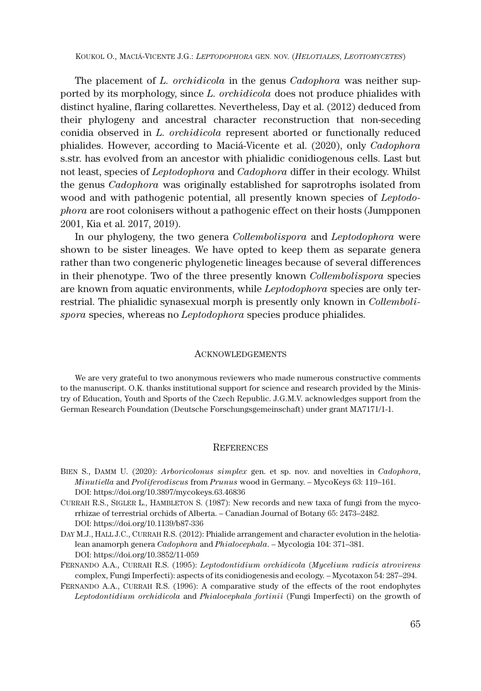KOUKOL O., MACIÁ-VICENTE J.G.: *LEPTODOPHORA* GEN. NOV. (*HELOTIALES*, *LEOTIOMYCETES*)

The placement of *L. orchidicola* in the genus *Cadophora* was neither supported by its morphology, since *L. orchidicola* does not produce phialides with distinct hyaline, flaring collarettes. Nevertheless, Day et al. (2012) deduced from their phylogeny and ancestral character reconstruction that non-seceding conidia observed in *L. orchidicola* represent aborted or functionally reduced phialides. However, according to Maciá-Vicente et al. (2020), only *Cadophora* s.str. has evolved from an ancestor with phialidic conidiogenous cells. Last but not least, species of *Leptodophora* and *Cadophora* differ in their ecology. Whilst the genus *Cadophora* was originally established for saprotrophs isolated from wood and with pathogenic potential, all presently known species of *Leptodophora* are root colonisers without a pathogenic effect on their hosts (Jumpponen 2001, Kia et al. 2017, 2019).

In our phylogeny, the two genera *Collembolispora* and *Leptodophora* were shown to be sister lineages. We have opted to keep them as separate genera rather than two congeneric phylogenetic lineages because of several differences in their phenotype. Two of the three presently known *Collembolispora* species are known from aquatic environments, while *Leptodophora* species are only terrestrial. The phialidic synasexual morph is presently only known in *Collembolispora* species, whereas no *Leptodophora* species produce phialides.

#### ACKNOWLEDGEMENTS

We are very grateful to two anonymous reviewers who made numerous constructive comments to the manuscript. O.K. thanks institutional support for science and research provided by the Ministry of Education, Youth and Sports of the Czech Republic. J.G.M.V. acknowledges support from the German Research Foundation (Deutsche Forschungsgemeinschaft) under grant MA7171/1-1.

### **REFERENCES**

- BIEN S., DAMM U. (2020): *Arboricolonus simplex* gen. et sp. nov. and novelties in *Cadophora*, *Minutiella* and *Proliferodiscus* from *Prunus* wood in Germany. – MycoKeys 63: 119–161. DOI: https://doi.org/10.3897/mycokeys.63.46836
- CURRAH R.S., SIGLER L., HAMBLETON S. (1987): New records and new taxa of fungi from the mycorrhizae of terrestrial orchids of Alberta. – Canadian Journal of Botany 65: 2473–2482. DOI: https://doi.org/10.1139/b87-336
- DAY M.J., HALL J.C., CURRAH R.S. (2012): Phialide arrangement and character evolution in the helotialean anamorph genera *Cadophora* and *Phialocephala*. – Mycologia 104: 371–381. DOI: https://doi.org/10.3852/11-059
- FERNANDO A.A., CURRAH R.S. (1995): *Leptodontidium orchidicola* (*Mycelium radicis atrovirens* complex, Fungi Imperfecti): aspects of its conidiogenesis and ecology. – Mycotaxon 54: 287–294.
- FERNANDO A.A., CURRAH R.S. (1996): A comparative study of the effects of the root endophytes *Leptodontidium orchidicola* and *Phialocephala fortinii* (Fungi Imperfecti) on the growth of